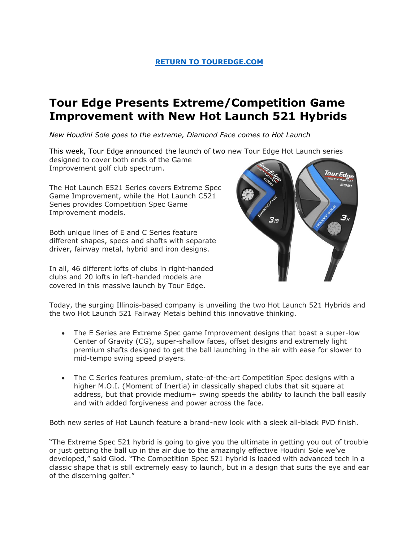### **[RETURN TO TOUREDGE.COM](https://www.touredge.com/)**

# **Tour Edge Presents Extreme/Competition Game Improvement with New Hot Launch 521 Hybrids**

*New Houdini Sole goes to the extreme, Diamond Face comes to Hot Launch* 

This week, Tour Edge announced the launch of two new Tour Edge Hot Launch series designed to cover both ends of the Game Improvement golf club spectrum.

The Hot Launch E521 Series covers Extreme Spec Game Improvement, while the Hot Launch C521 Series provides Competition Spec Game Improvement models.

Both unique lines of E and C Series feature different shapes, specs and shafts with separate driver, fairway metal, hybrid and iron designs.

In all, 46 different lofts of clubs in right-handed clubs and 20 lofts in left-handed models are covered in this massive launch by Tour Edge.



Today, the surging Illinois-based company is unveiling the two Hot Launch 521 Hybrids and the two Hot Launch 521 Fairway Metals behind this innovative thinking.

- The E Series are Extreme Spec game Improvement designs that boast a super-low Center of Gravity (CG), super-shallow faces, offset designs and extremely light premium shafts designed to get the ball launching in the air with ease for slower to mid-tempo swing speed players.
- The C Series features premium, state-of-the-art Competition Spec designs with a higher M.O.I. (Moment of Inertia) in classically shaped clubs that sit square at address, but that provide medium+ swing speeds the ability to launch the ball easily and with added forgiveness and power across the face.

Both new series of Hot Launch feature a brand-new look with a sleek all-black PVD finish.

"The Extreme Spec 521 hybrid is going to give you the ultimate in getting you out of trouble or just getting the ball up in the air due to the amazingly effective Houdini Sole we've developed," said Glod. "The Competition Spec 521 hybrid is loaded with advanced tech in a classic shape that is still extremely easy to launch, but in a design that suits the eye and ear of the discerning golfer."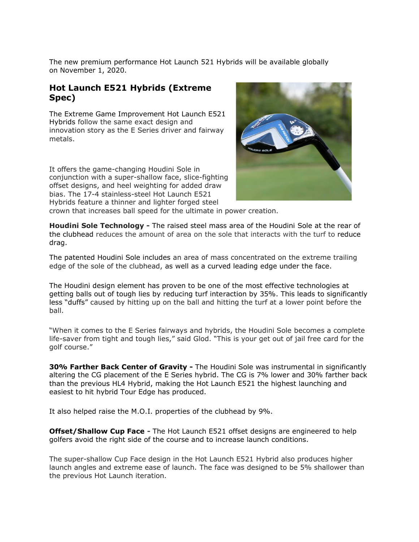The new premium performance Hot Launch 521 Hybrids will be available globally on November 1, 2020.

### **Hot Launch E521 Hybrids (Extreme Spec)**

The Extreme Game Improvement Hot Launch E521 Hybrids follow the same exact design and innovation story as the E Series driver and fairway metals.

It offers the game-changing Houdini Sole in conjunction with a super-shallow face, slice-fighting offset designs, and heel weighting for added draw bias. The 17-4 stainless-steel Hot Launch E521 Hybrids feature a thinner and lighter forged steel



crown that increases ball speed for the ultimate in power creation.

**Houdini Sole Technology -** The raised steel mass area of the Houdini Sole at the rear of the clubhead reduces the amount of area on the sole that interacts with the turf to reduce drag.

The patented Houdini Sole includes an area of mass concentrated on the extreme trailing edge of the sole of the clubhead, as well as a curved leading edge under the face.

The Houdini design element has proven to be one of the most effective technologies at getting balls out of tough lies by reducing turf interaction by 35%. This leads to significantly less "duffs" caused by hitting up on the ball and hitting the turf at a lower point before the ball.

"When it comes to the E Series fairways and hybrids, the Houdini Sole becomes a complete life-saver from tight and tough lies," said Glod. "This is your get out of jail free card for the golf course."

**30% Farther Back Center of Gravity -** The Houdini Sole was instrumental in significantly altering the CG placement of the E Series hybrid. The CG is 7% lower and 30% farther back than the previous HL4 Hybrid, making the Hot Launch E521 the highest launching and easiest to hit hybrid Tour Edge has produced.

It also helped raise the M.O.I. properties of the clubhead by 9%.

**Offset/Shallow Cup Face -** The Hot Launch E521 offset designs are engineered to help golfers avoid the right side of the course and to increase launch conditions.

The super-shallow Cup Face design in the Hot Launch E521 Hybrid also produces higher launch angles and extreme ease of launch. The face was designed to be 5% shallower than the previous Hot Launch iteration.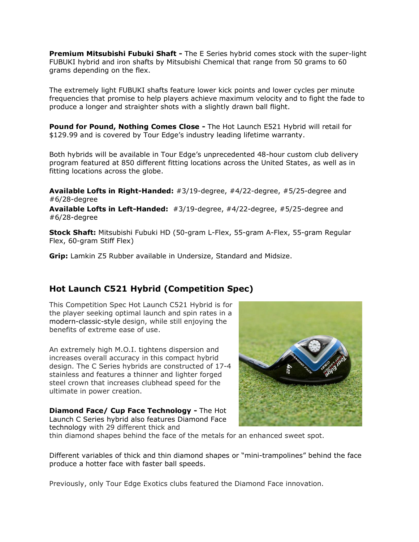**Premium Mitsubishi Fubuki Shaft -** The E Series hybrid comes stock with the super-light FUBUKI hybrid and iron shafts by Mitsubishi Chemical that range from 50 grams to 60 grams depending on the flex.

The extremely light FUBUKI shafts feature lower kick points and lower cycles per minute frequencies that promise to help players achieve maximum velocity and to fight the fade to produce a longer and straighter shots with a slightly drawn ball flight.

**Pound for Pound, Nothing Comes Close -** The Hot Launch E521 Hybrid will retail for \$129.99 and is covered by Tour Edge's industry leading lifetime warranty.

Both hybrids will be available in Tour Edge's unprecedented 48-hour custom club delivery program featured at 850 different fitting locations across the United States, as well as in fitting locations across the globe.

**Available Lofts in Right-Handed:** #3/19-degree, #4/22-degree, #5/25-degree and #6/28-degree

**Available Lofts in Left-Handed:** #3/19-degree, #4/22-degree, #5/25-degree and #6/28-degree

**Stock Shaft:** Mitsubishi Fubuki HD (50-gram L-Flex, 55-gram A-Flex, 55-gram Regular Flex, 60-gram Stiff Flex)

**Grip:** Lamkin Z5 Rubber available in Undersize, Standard and Midsize.

## **Hot Launch C521 Hybrid (Competition Spec)**

This Competition Spec Hot Launch C521 Hybrid is for the player seeking optimal launch and spin rates in a modern-classic-style design, while still enjoying the benefits of extreme ease of use.

An extremely high M.O.I. tightens dispersion and increases overall accuracy in this compact hybrid design. The C Series hybrids are constructed of 17-4 stainless and features a thinner and lighter forged steel crown that increases clubhead speed for the ultimate in power creation.

**Diamond Face/ Cup Face Technology -** The Hot Launch C Series hybrid also features Diamond Face technology with 29 different thick and



thin diamond shapes behind the face of the metals for an enhanced sweet spot.

Different variables of thick and thin diamond shapes or "mini-trampolines" behind the face produce a hotter face with faster ball speeds.

Previously, only Tour Edge Exotics clubs featured the Diamond Face innovation.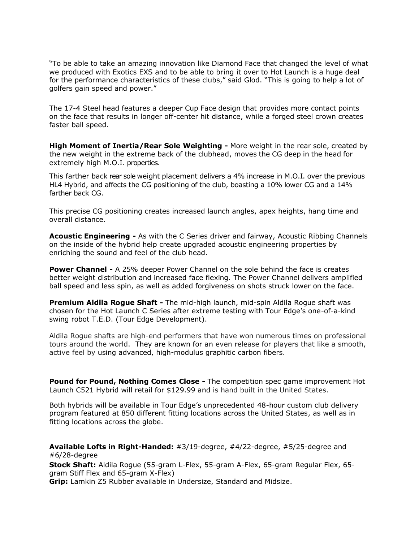"To be able to take an amazing innovation like Diamond Face that changed the level of what we produced with Exotics EXS and to be able to bring it over to Hot Launch is a huge deal for the performance characteristics of these clubs," said Glod. "This is going to help a lot of golfers gain speed and power."

The 17-4 Steel head features a deeper Cup Face design that provides more contact points on the face that results in longer off-center hit distance, while a forged steel crown creates faster ball speed.

**High Moment of Inertia/Rear Sole Weighting -** More weight in the rear sole, created by the new weight in the extreme back of the clubhead, moves the CG deep in the head for extremely high M.O.I. properties.

This farther back rear sole weight placement delivers a 4% increase in M.O.I. over the previous HL4 Hybrid, and affects the CG positioning of the club, boasting a 10% lower CG and a 14% farther back CG.

This precise CG positioning creates increased launch angles, apex heights, hang time and overall distance.

**Acoustic Engineering -** As with the C Series driver and fairway, Acoustic Ribbing Channels on the inside of the hybrid help create upgraded acoustic engineering properties by enriching the sound and feel of the club head.

**Power Channel -** A 25% deeper Power Channel on the sole behind the face is creates better weight distribution and increased face flexing. The Power Channel delivers amplified ball speed and less spin, as well as added forgiveness on shots struck lower on the face.

**Premium Aldila Rogue Shaft -** The mid-high launch, mid-spin Aldila Rogue shaft was chosen for the Hot Launch C Series after extreme testing with Tour Edge's one-of-a-kind swing robot T.E.D. (Tour Edge Development).

Aldila Rogue shafts are high-end performers that have won numerous times on professional tours around the world. They are known for an even release for players that like a smooth, active feel by using advanced, high-modulus graphitic carbon fibers.

**Pound for Pound, Nothing Comes Close -** The competition spec game improvement Hot Launch C521 Hybrid will retail for \$129.99 and is hand built in the United States.

Both hybrids will be available in Tour Edge's unprecedented 48-hour custom club delivery program featured at 850 different fitting locations across the United States, as well as in fitting locations across the globe.

**Available Lofts in Right-Handed:** #3/19-degree, #4/22-degree, #5/25-degree and #6/28-degree

**Stock Shaft:** Aldila Rogue (55-gram L-Flex, 55-gram A-Flex, 65-gram Regular Flex, 65 gram Stiff Flex and 65-gram X-Flex)

**Grip:** Lamkin Z5 Rubber available in Undersize, Standard and Midsize.